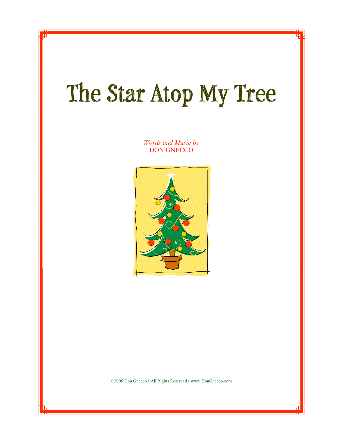## **The Star Atop My Tree**

*Words and Music by* DON GNECCO



©2005 Don Gnecco • All Rights Reserved • www.DonGnecco.com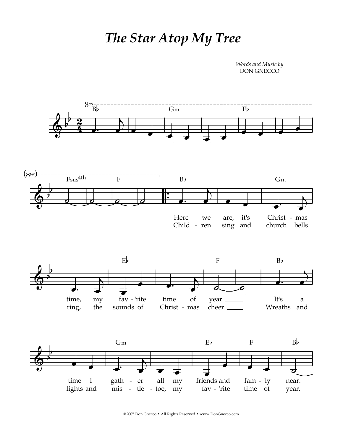## *The Star Atop My Tree*

*Words and Music by* DON GNECCO



©2005 Don Gnecco • All Rights Reserved • www.DonGnecco.com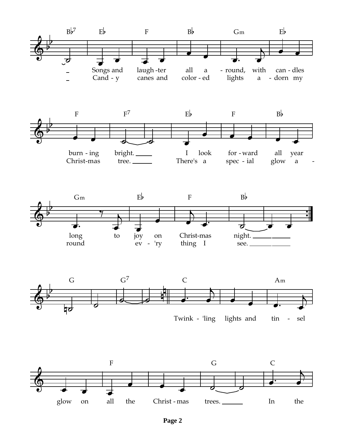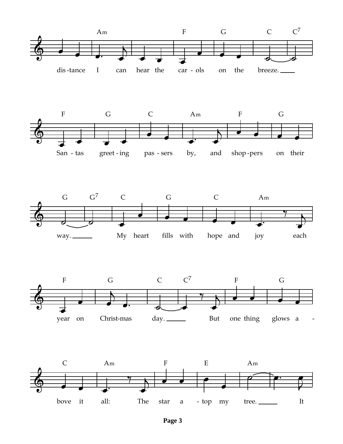

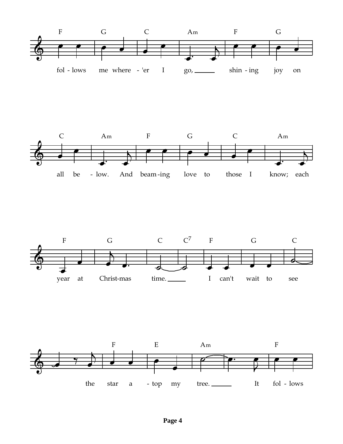